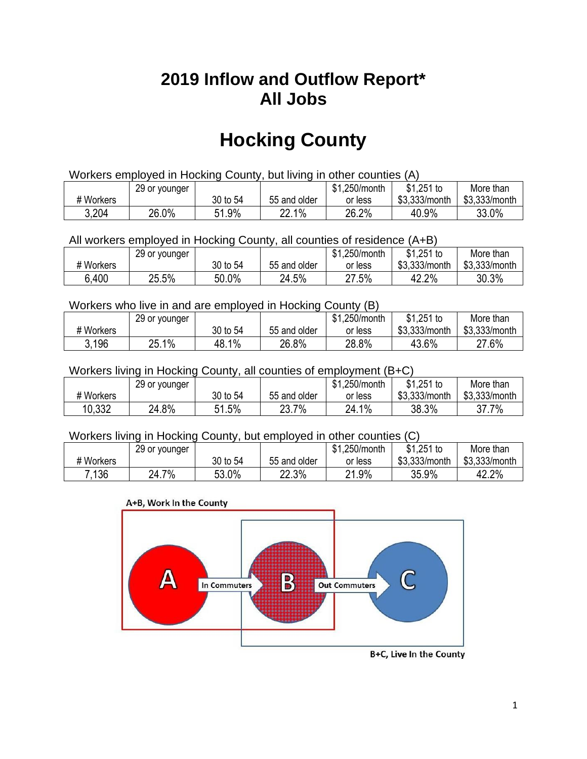## **2019 Inflow and Outflow Report\* All Jobs**

# **Hocking County**

| Workers employed in Hocking County, but living in other counties (A) |                                                           |          |              |         |               |               |  |  |  |
|----------------------------------------------------------------------|-----------------------------------------------------------|----------|--------------|---------|---------------|---------------|--|--|--|
|                                                                      | \$1.251 to<br>\$1.250/month<br>More than<br>29 or younger |          |              |         |               |               |  |  |  |
| # Workers                                                            |                                                           | 30 to 54 | 55 and older | or less | \$3.333/month | \$3,333/month |  |  |  |
| 3,204                                                                | 26.0%                                                     | 51.9%    | 22.1%        | 26.2%   | 40.9%         | 33.0%         |  |  |  |

All workers employed in Hocking County, all counties of residence (A+B)

|           | 29 or younger |          |              | \$1,250/month | $$1,251$ to   | More than     |
|-----------|---------------|----------|--------------|---------------|---------------|---------------|
| # Workers |               | 30 to 54 | 55 and older | or less       | \$3,333/month | \$3,333/month |
| 6,400     | 25.5%         | 50.0%    | 24.5%        | 27.5%         | 42.2%         | 30.3%         |

#### Workers who live in and are employed in Hocking County (B)

|           | 29 or younger |          |              | \$1,250/month | $$1,251$ to   | More than     |
|-----------|---------------|----------|--------------|---------------|---------------|---------------|
| # Workers |               | 30 to 54 | 55 and older | or less       | \$3,333/month | \$3,333/month |
| 3.196     | 25.1%         | 48.1%    | 26.8%        | 28.8%         | 43.6%         | 27.6%         |

#### Workers living in Hocking County, all counties of employment (B+C)

|           | 29 or younger |             |              | \$1,250/month | $$1,251$ to   | More than     |
|-----------|---------------|-------------|--------------|---------------|---------------|---------------|
| # Workers |               | 30 to 54    | 55 and older | or less       | \$3,333/month | \$3,333/month |
| 10,332    | 24.8%         | 1.5%<br>51. | 23.7%        | $1\%$<br>24.1 | 38.3%         | 37.7%         |

#### Workers living in Hocking County, but employed in other counties (C)

|           | 29 or younger          |          |              | \$1,250/month | $$1,251$ to   | More than     |
|-----------|------------------------|----------|--------------|---------------|---------------|---------------|
| # Workers |                        | 30 to 54 | 55 and older | or less       | \$3,333/month | \$3,333/month |
| 7.136     | 7%<br><sup>າ</sup> 4., | 53.0%    | 22.3%        | 21.9%         | 35.9%         | 42.2%         |

#### A+B, Work In the County